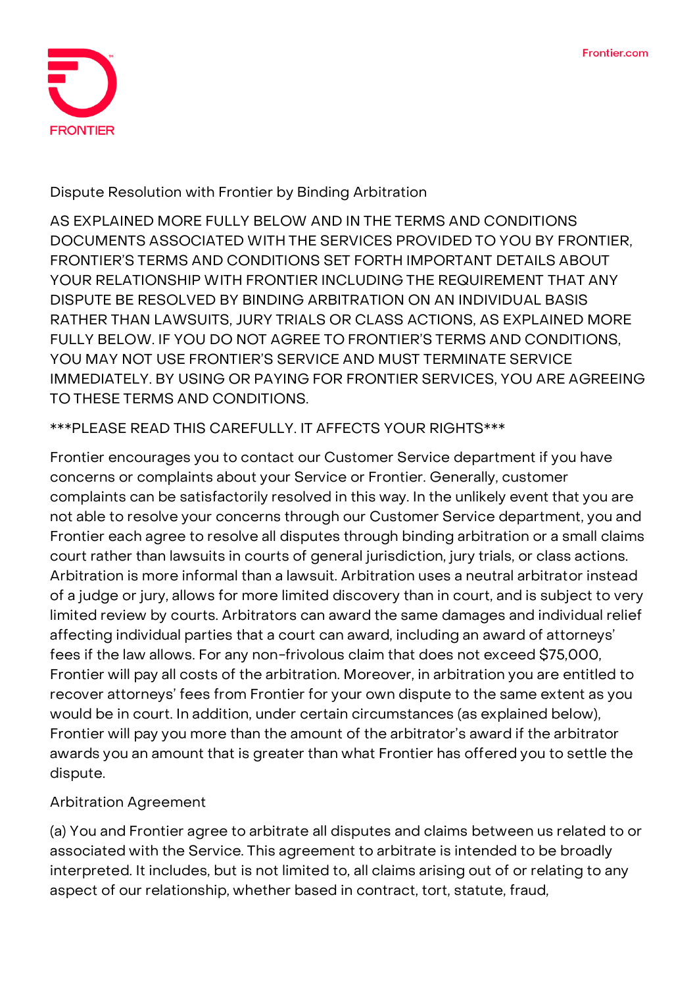

**Dispute Resolution with Frontier by Binding Arbitration**

AS EXPLAINED MORE FULLY BELOW AND IN THE TERMS AND CONDITIONS DOCUMENTS ASSOCIATED WITH THE SERVICES PROVIDED TO YOU BY FRONTIER, FRONTIER'S TERMS AND CONDITIONS SET FORTH IMPORTANT DETAILS ABOUT YOUR RELATIONSHIP WITH FRONTIER INCLUDING THE REQUIREMENT **THAT ANY DISPUTE BE RESOLVED BY BINDING ARBITRATION ON AN INDIVIDUAL BASIS RATHER THAN LAWSUITS, JURY TRIALS OR CLASS ACTIONS, AS EXPLAINED MORE FULLY BELOW.** IF YOU DO NOT AGREE TO FRONTIER'S TERMS AND CONDITIONS, YOU MAY NOT USE FRONTIER'S SERVICE AND MUST TERMINATE SERVICE IMMEDIATELY. BY USING OR PAYING FOR FRONTIER SERVICES, YOU ARE AGREEING TO THESE TERMS AND CONDITIONS.

## **\*\*\*PLEASE READ THIS CAREFULLY. IT AFFECTS YOUR RIGHTS\*\*\***

Frontier encourages you to contact our Customer Service department if you have concerns or complaints about your Service or Frontier. Generally, customer complaints can be satisfactorily resolved in this way. In the unlikely event that you are not able to resolve your concerns through our Customer Service department, you and Frontier each agree to resolve all disputes through binding arbitration or a small claims court rather than lawsuits in courts of general jurisdiction, jury trials, or class actions. Arbitration is more informal than a lawsuit. Arbitration uses a neutral arbitrator instead of a judge or jury, allows for more limited discovery than in court, and is subject to very limited review by courts. Arbitrators can award the same damages and individual relief affecting individual parties that a court can award, including an award of attorneys' fees if the law allows. For any non-frivolous claim that does not exceed \$75,000, Frontier will pay all costs of the arbitration. Moreover, in arbitration you are entitled to recover attorneys' fees from Frontier for your own dispute to the same extent as you would be in court. In addition, under certain circumstances (as explained below), Frontier will pay you more than the amount of the arbitrator's award if the arbitrator awards you an amount that is greater than what Frontier has offered you to settle the dispute.

## **Arbitration Agreement**

(a) You and Frontier agree to arbitrate **all disputes and claims** between us related to or associated with the Service. This agreement to arbitrate is intended to be broadly interpreted. It includes, but is not limited to, all claims arising out of or relating to any aspect of our relationship, whether based in contract, tort, statute, fraud,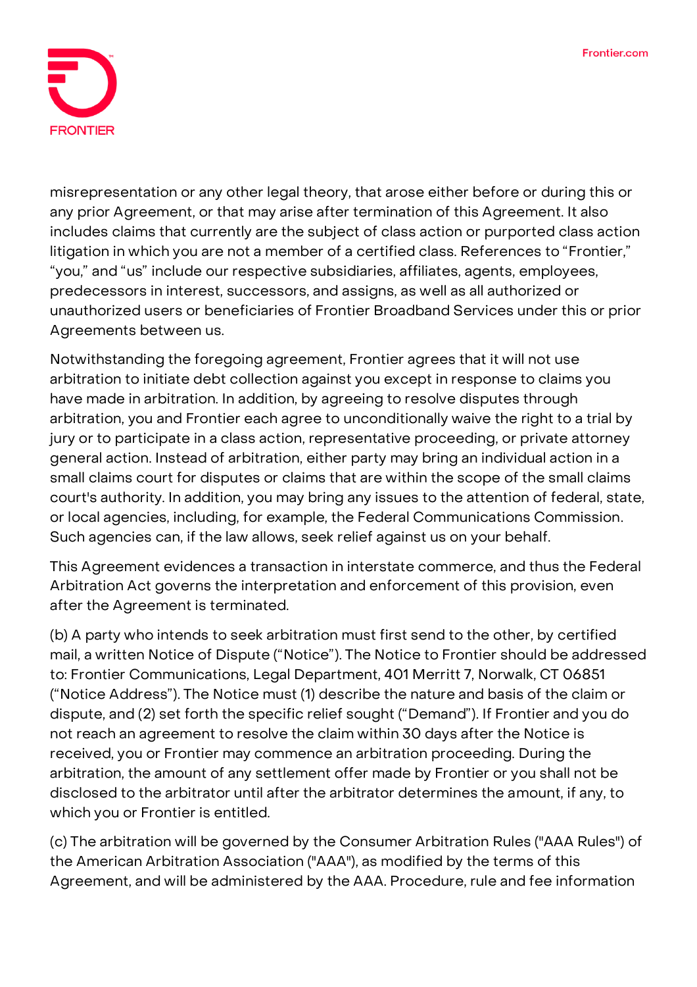

misrepresentation or any other legal theory, that arose either before or during this or any prior Agreement, or that may arise after termination of this Agreement. It also includes claims that currently are the subject of class action or purported class action litigation in which you are not a member of a certified class. References to "Frontier," "you," and "us" include our respective subsidiaries, affiliates, agents, employees, predecessors in interest, successors, and assigns, as well as all authorized or unauthorized users or beneficiaries of Frontier Broadband Services under this or prior Agreements between us.

Notwithstanding the foregoing agreement, Frontier agrees that it will not use arbitration to initiate debt collection against you except in response to claims you have made in arbitration. In addition, by agreeing to resolve disputes through arbitration, **you and Frontier each agree to unconditionally waive the right to a trial by jury or to participate in a class action, representative proceeding, or private attorney general action.** Instead of arbitration, either party may bring an individual action in a small claims court for disputes or claims that are within the scope of the small claims court's authority. In addition, you may bring any issues to the attention of federal, state, or local agencies, including, for example, the Federal Communications Commission. Such agencies can, if the law allows, seek relief against us on your behalf.

This Agreement evidences a transaction in interstate commerce, and thus the Federal Arbitration Act governs the interpretation and enforcement of this provision, even after the Agreement is terminated.

(b) A party who intends to seek arbitration must first send to the other, by certified mail, a written Notice of Dispute ("Notice"). The Notice to Frontier should be addressed to: Frontier Communications, Legal Department, 401 Merritt 7, Norwalk, CT 06851 ("Notice Address"). The Notice must (1) describe the nature and basis of the claim or dispute, and (2) set forth the specific relief sought ("Demand"). If Frontier and you do not reach an agreement to resolve the claim within 30 days after the Notice is received, you or Frontier may commence an arbitration proceeding. During the arbitration, the amount of any settlement offer made by Frontier or you shall not be disclosed to the arbitrator until after the arbitrator determines the amount, if any, to which you or Frontier is entitled.

(c) The arbitration will be governed by the Consumer Arbitration Rules ("AAA Rules") of the American Arbitration Association ("AAA"), as modified by the terms of this Agreement, and will be administered by the AAA. Procedure, rule and fee information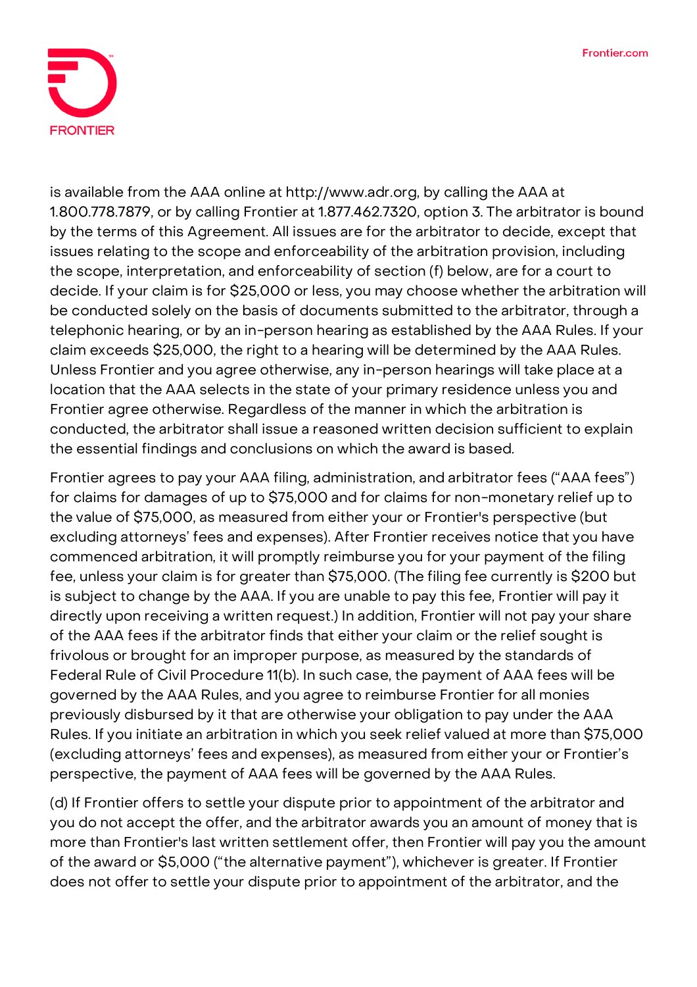

is available from the AAA online at http://www.adr.org, by calling the AAA at 1.800.778.7879, or by calling Frontier at 1.877.462.7320, option 3. The arbitrator is bound by the terms of this Agreement. All issues are for the arbitrator to decide, except that issues relating to the scope and enforceability of the arbitration provision, including the scope, interpretation, and enforceability of section (f) below, are for a court to decide. If your claim is for \$25,000 or less, you may choose whether the arbitration will be conducted solely on the basis of documents submitted to the arbitrator, through a telephonic hearing, or by an in-person hearing as established by the AAA Rules. If your claim exceeds \$25,000, the right to a hearing will be determined by the AAA Rules. Unless Frontier and you agree otherwise, any in-person hearings will take place at a location that the AAA selects in the state of your primary residence unless you and Frontier agree otherwise. Regardless of the manner in which the arbitration is conducted, the arbitrator shall issue a reasoned written decision sufficient to explain the essential findings and conclusions on which the award is based.

Frontier agrees to pay your AAA filing, administration, and arbitrator fees ("AAA fees") for claims for damages of up to \$75,000 and for claims for non-monetary relief up to the value of \$75,000, as measured from either your or Frontier's perspective (but excluding attorneys' fees and expenses). After Frontier receives notice that you have commenced arbitration, it will promptly reimburse you for your payment of the filing fee, unless your claim is for greater than \$75,000. (The filing fee currently is \$200 but is subject to change by the AAA. If you are unable to pay this fee, Frontier will pay it directly upon receiving a written request.) In addition, Frontier will not pay your share of the AAA fees if the arbitrator finds that either your claim or the relief sought is frivolous or brought for an improper purpose, as measured by the standards of Federal Rule of Civil Procedure 11(b). In such case, the payment of AAA fees will be governed by the AAA Rules, and you agree to reimburse Frontier for all monies previously disbursed by it that are otherwise your obligation to pay under the AAA Rules. If you initiate an arbitration in which you seek relief valued at more than \$75,000 (excluding attorneys' fees and expenses), as measured from either your or Frontier's perspective, the payment of AAA fees will be governed by the AAA Rules.

(d) If Frontier offers to settle your dispute prior to appointment of the arbitrator and you do not accept the offer, and the arbitrator awards you an amount of money that is more than Frontier's last written settlement offer, then Frontier will pay you the amount of the award or \$5,000 ("the alternative payment"), whichever is greater. If Frontier does not offer to settle your dispute prior to appointment of the arbitrator, and the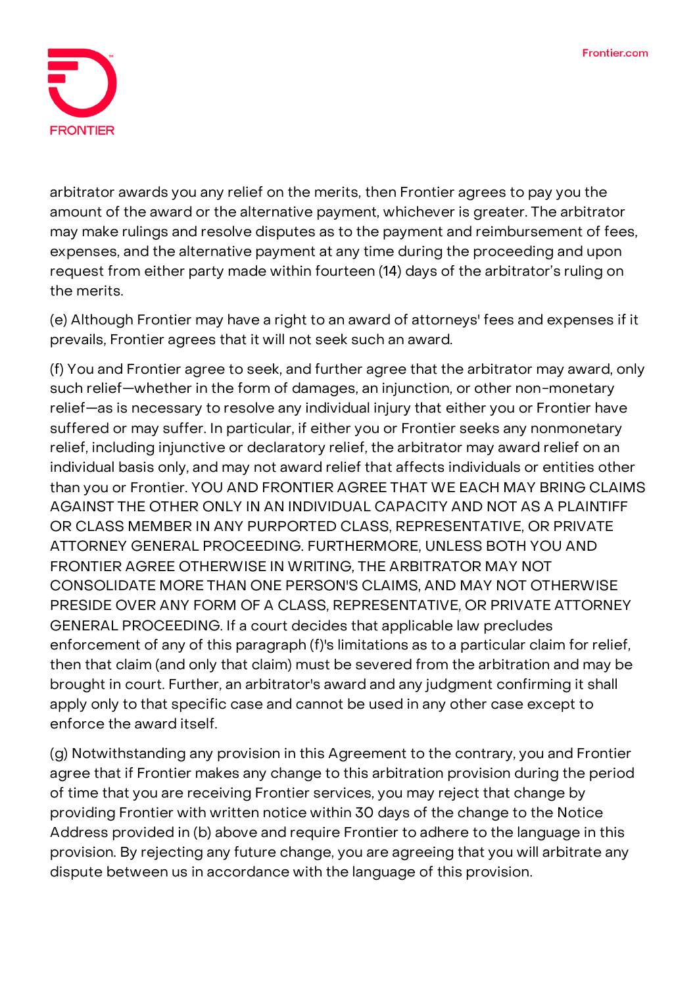

arbitrator awards you any relief on the merits, then Frontier agrees to pay you the amount of the award or the alternative payment, whichever is greater. The arbitrator may make rulings and resolve disputes as to the payment and reimbursement of fees, expenses, and the alternative payment at any time during the proceeding and upon request from either party made within fourteen (14) days of the arbitrator's ruling on the merits.

(e) Although Frontier may have a right to an award of attorneys' fees and expenses if it prevails, Frontier agrees that it will not seek such an award.

(f) You and Frontier agree to seek, and further agree that the arbitrator may award, only such relief—whether in the form of damages, an injunction, or other non-monetary relief—as is necessary to resolve any individual injury that either you or Frontier have suffered or may suffer. In particular, if either you or Frontier seeks any nonmonetary relief, including injunctive or declaratory relief, the arbitrator may award relief on an individual basis only, and may not award relief that affects individuals or entities other than you or Frontier. YOU AND FRONTIER AGREE THAT WE EACH MAY BRING CLAIMS AGAINST THE OTHER ONLY IN AN INDIVIDUAL CAPACITY AND NOT AS A PLAINTIFF OR CLASS MEMBER IN ANY PURPORTED CLASS, REPRESENTATIVE, OR PRIVATE ATTORNEY GENERAL PROCEEDING. FURTHERMORE, UNLESS BOTH YOU AND FRONTIER AGREE OTHERWISE IN WRITING, THE ARBITRATOR MAY NOT CONSOLIDATE MORE THAN ONE PERSON'S CLAIMS, AND MAY NOT OTHERWISE PRESIDE OVER ANY FORM OF A CLASS, REPRESENTATIVE, OR PRIVATE ATTORNEY GENERAL PROCEEDING. If a court decides that applicable law precludes enforcement of any of this paragraph (f)'s limitations as to a particular claim for relief, then that claim (and only that claim) must be severed from the arbitration and may be brought in court. Further, an arbitrator's award and any judgment confirming it shall apply only to that specific case and cannot be used in any other case except to enforce the award itself.

(g) Notwithstanding any provision in this Agreement to the contrary, you and Frontier agree that if Frontier makes any change to this arbitration provision during the period of time that you are receiving Frontier services, you may reject that change by providing Frontier with written notice within 30 days of the change to the Notice Address provided in (b) above and require Frontier to adhere to the language in this provision. By rejecting any future change, you are agreeing that you will arbitrate any dispute between us in accordance with the language of this provision.